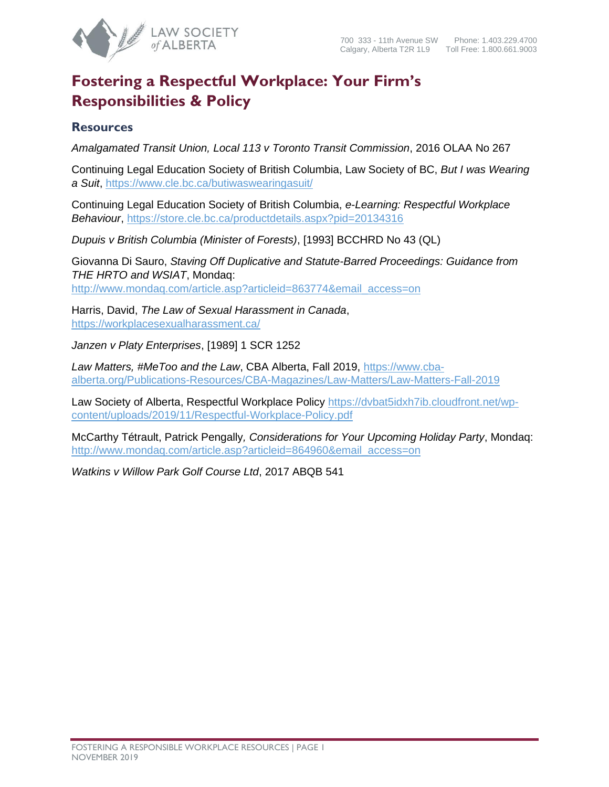

## **Fostering a Respectful Workplace: Your Firm's Responsibilities & Policy**

## **Resources**

*Amalgamated Transit Union, Local 113 v Toronto Transit Commission*, 2016 OLAA No 267

Continuing Legal Education Society of British Columbia, Law Society of BC, *But I was Wearing a Suit*, <https://www.cle.bc.ca/butiwaswearingasuit/>

Continuing Legal Education Society of British Columbia, *e-Learning: Respectful Workplace Behaviour*,<https://store.cle.bc.ca/productdetails.aspx?pid=20134316>

*Dupuis v British Columbia (Minister of Forests)*, [1993] BCCHRD No 43 (QL)

Giovanna Di Sauro, *Staving Off Duplicative and Statute-Barred Proceedings: Guidance from THE HRTO and WSIAT*, Mondaq: [http://www.mondaq.com/article.asp?articleid=863774&email\\_access=on](http://www.mondaq.com/article.asp?articleid=863774&email_access=on)

Harris, David, *The Law of Sexual Harassment in Canada*, <https://workplacesexualharassment.ca/>

*Janzen v Platy Enterprises*, [1989] 1 SCR 1252

*Law Matters, #MeToo and the Law*, CBA Alberta, Fall 2019, [https://www.cba](https://www.cba-alberta.org/Publications-Resources/CBA-Magazines/Law-Matters/Law-Matters-Fall-2019)[alberta.org/Publications-Resources/CBA-Magazines/Law-Matters/Law-Matters-Fall-2019](https://www.cba-alberta.org/Publications-Resources/CBA-Magazines/Law-Matters/Law-Matters-Fall-2019)

Law Society of Alberta, Respectful Workplace Policy [https://dvbat5idxh7ib.cloudfront.net/wp](https://dvbat5idxh7ib.cloudfront.net/wp-content/uploads/2019/11/Respectful-Workplace-Policy.pdf)[content/uploads/2019/11/Respectful-Workplace-Policy.pdf](https://dvbat5idxh7ib.cloudfront.net/wp-content/uploads/2019/11/Respectful-Workplace-Policy.pdf)

McCarthy Tétrault, Patrick Pengally*, Considerations for Your Upcoming Holiday Party*, Mondaq: [http://www.mondaq.com/article.asp?articleid=864960&email\\_access=on](http://www.mondaq.com/article.asp?articleid=864960&email_access=on)

*Watkins v Willow Park Golf Course Ltd*, 2017 ABQB 541